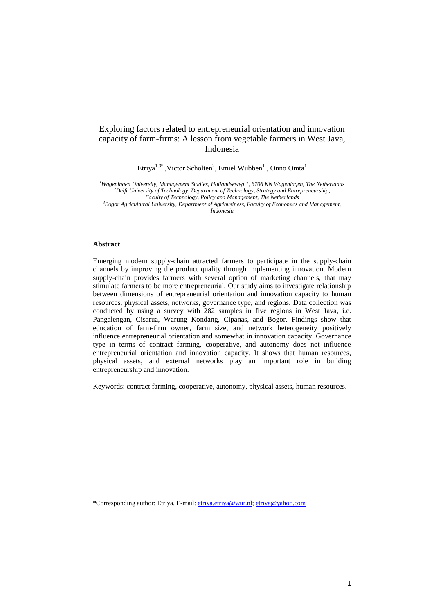# Exploring factors related to entrepreneurial orientation and innovation capacity of farm-firms: A lesson from vegetable farmers in West Java, Indonesia

Etriya<sup>1,3\*</sup>, Victor Scholten<sup>2</sup>, Emiel Wubben<sup>1</sup>, Onno Omta<sup>1</sup>

*<sup>1</sup>Wageningen University, Management Studies, Hollandseweg 1, 6706 KN Wageningen, The Netherlands <sup>2</sup>Delft University of Technology, Department of Technology, Strategy and Entrepreneurship, Faculty of Technology, Policy and Management, The Netherlands*

*<sup>3</sup>Bogor Agricultural University, Department of Agribusiness, Faculty of Economics and Management, Indonesia*

# **Abstract**

Emerging modern supply-chain attracted farmers to participate in the supply-chain channels by improving the product quality through implementing innovation. Modern supply-chain provides farmers with several option of marketing channels, that may stimulate farmers to be more entrepreneurial. Our study aims to investigate relationship between dimensions of entrepreneurial orientation and innovation capacity to human resources, physical assets, networks, governance type, and regions. Data collection was conducted by using a survey with 282 samples in five regions in West Java, i.e. Pangalengan, Cisarua, Warung Kondang, Cipanas, and Bogor. Findings show that education of farm-firm owner, farm size, and network heterogeneity positively influence entrepreneurial orientation and somewhat in innovation capacity. Governance type in terms of contract farming, cooperative, and autonomy does not influence entrepreneurial orientation and innovation capacity. It shows that human resources, physical assets, and external networks play an important role in building entrepreneurship and innovation.

Keywords: contract farming, cooperative, autonomy, physical assets, human resources.

\*Corresponding author: Etriya. E-mail[: etriya.etriya@wur.nl;](mailto:etriya.etriya@wur.nl) [etriya@yahoo.com](mailto:etriya@yahoo.com)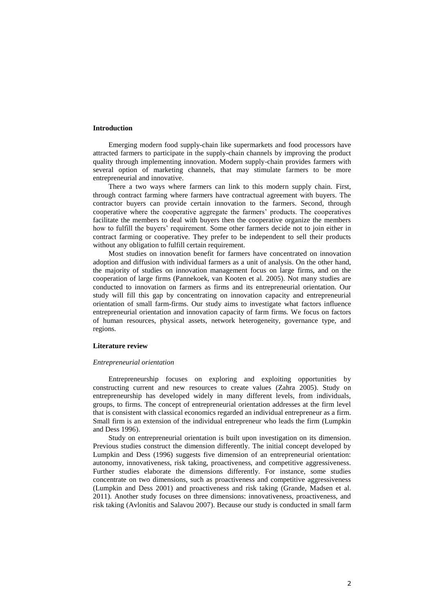## **Introduction**

Emerging modern food supply-chain like supermarkets and food processors have attracted farmers to participate in the supply-chain channels by improving the product quality through implementing innovation. Modern supply-chain provides farmers with several option of marketing channels, that may stimulate farmers to be more entrepreneurial and innovative.

There a two ways where farmers can link to this modern supply chain. First, through contract farming where farmers have contractual agreement with buyers. The contractor buyers can provide certain innovation to the farmers. Second, through cooperative where the cooperative aggregate the farmers' products. The cooperatives facilitate the members to deal with buyers then the cooperative organize the members how to fulfill the buyers' requirement. Some other farmers decide not to join either in contract farming or cooperative. They prefer to be independent to sell their products without any obligation to fulfill certain requirement.

Most studies on innovation benefit for farmers have concentrated on innovation adoption and diffusion with individual farmers as a unit of analysis. On the other hand, the majority of studies on innovation management focus on large firms, and on the cooperation of large firms [\(Pannekoek, van Kooten et al. 2005\)](#page-11-0). Not many studies are conducted to innovation on farmers as firms and its entrepreneurial orientation. Our study will fill this gap by concentrating on innovation capacity and entrepreneurial orientation of small farm-firms. Our study aims to investigate what factors influence entrepreneurial orientation and innovation capacity of farm firms. We focus on factors of human resources, physical assets, network heterogeneity, governance type, and regions.

# **Literature review**

#### *Entrepreneurial orientation*

Entrepreneurship focuses on exploring and exploiting opportunities by constructing current and new resources to create values [\(Zahra 2005\)](#page-11-1). Study on entrepreneurship has developed widely in many different levels, from individuals, groups, to firms. The concept of entrepreneurial orientation addresses at the firm level that is consistent with classical economics regarded an individual entrepreneur as a firm. Small firm is an extension of the individual entrepreneur who leads the firm [\(Lumpkin](#page-11-2)  [and Dess 1996\)](#page-11-2).

Study on entrepreneurial orientation is built upon investigation on its dimension. Previous studies construct the dimension differently. The initial concept developed by Lumpkin and Dess (1996) suggests five dimension of an entrepreneurial orientation: autonomy, innovativeness, risk taking, proactiveness, and competitive aggressiveness. Further studies elaborate the dimensions differently. For instance, some studies concentrate on two dimensions, such as proactiveness and competitive aggressiveness [\(Lumpkin and Dess 2001\)](#page-11-3) and proactiveness and risk taking [\(Grande, Madsen et al.](#page-11-4)  [2011\)](#page-11-4). Another study focuses on three dimensions: innovativeness, proactiveness, and risk taking [\(Avlonitis and Salavou 2007\)](#page-11-5). Because our study is conducted in small farm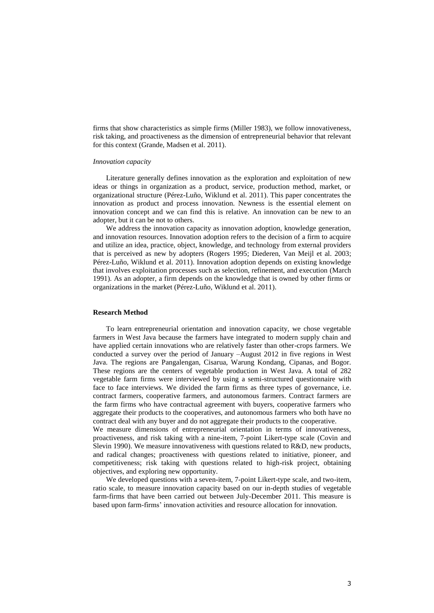firms that show characteristics as simple firms [\(Miller 1983\)](#page-11-6), we follow innovativeness, risk taking, and proactiveness as the dimension of entrepreneurial behavior that relevant for this context [\(Grande, Madsen et al. 2011\)](#page-11-4).

#### *Innovation capacity*

Literature generally defines innovation as the exploration and exploitation of new ideas or things in organization as a product, service, production method, market, or organizational structure [\(Pérez-Luño, Wiklund et al. 2011\)](#page-11-7). This paper concentrates the innovation as product and process innovation. Newness is the essential element on innovation concept and we can find this is relative. An innovation can be new to an adopter, but it can be not to others.

We address the innovation capacity as innovation adoption, knowledge generation, and innovation resources. Innovation adoption refers to the decision of a firm to acquire and utilize an idea, practice, object, knowledge, and technology from external providers that is perceived as new by adopters [\(Rogers 1995;](#page-11-8) [Diederen, Van Meijl et al. 2003;](#page-11-9) [Pérez-Luño, Wiklund et al. 2011\)](#page-11-7). Innovation adoption depends on existing knowledge that involves exploitation processes such as selection, refinement, and execution [\(March](#page-11-10)  [1991\)](#page-11-10). As an adopter, a firm depends on the knowledge that is owned by other firms or organizations in the market [\(Pérez-Luño, Wiklund et al. 2011\)](#page-11-7).

#### **Research Method**

To learn entrepreneurial orientation and innovation capacity, we chose vegetable farmers in West Java because the farmers have integrated to modern supply chain and have applied certain innovations who are relatively faster than other-crops farmers. We conducted a survey over the period of January –August 2012 in five regions in West Java. The regions are Pangalengan, Cisarua, Warung Kondang, Cipanas, and Bogor. These regions are the centers of vegetable production in West Java. A total of 282 vegetable farm firms were interviewed by using a semi-structured questionnaire with face to face interviews. We divided the farm firms as three types of governance, i.e. contract farmers, cooperative farmers, and autonomous farmers. Contract farmers are the farm firms who have contractual agreement with buyers, cooperative farmers who aggregate their products to the cooperatives, and autonomous farmers who both have no contract deal with any buyer and do not aggregate their products to the cooperative.

We measure dimensions of entrepreneurial orientation in terms of innovativeness, proactiveness, and risk taking with a nine-item, 7-point Likert-type scale [\(Covin and](#page-11-11)  [Slevin 1990\)](#page-11-11). We measure innovativeness with questions related to R&D, new products, and radical changes; proactiveness with questions related to initiative, pioneer, and competitiveness; risk taking with questions related to high-risk project, obtaining objectives, and exploring new opportunity.

We developed questions with a seven-item, 7-point Likert-type scale, and two-item, ratio scale, to measure innovation capacity based on our in-depth studies of vegetable farm-firms that have been carried out between July-December 2011. This measure is based upon farm-firms' innovation activities and resource allocation for innovation.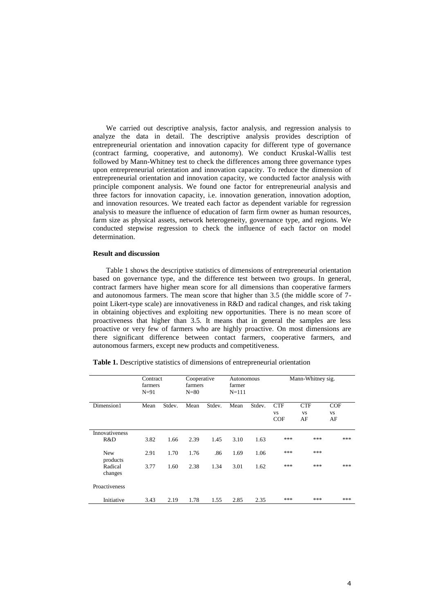We carried out descriptive analysis, factor analysis, and regression analysis to analyze the data in detail. The descriptive analysis provides description of entrepreneurial orientation and innovation capacity for different type of governance (contract farming, cooperative, and autonomy). We conduct Kruskal-Wallis test followed by Mann-Whitney test to check the differences among three governance types upon entrepreneurial orientation and innovation capacity. To reduce the dimension of entrepreneurial orientation and innovation capacity, we conducted factor analysis with principle component analysis. We found one factor for entrepreneurial analysis and three factors for innovation capacity, i.e. innovation generation, innovation adoption, and innovation resources. We treated each factor as dependent variable for regression analysis to measure the influence of education of farm firm owner as human resources, farm size as physical assets, network heterogeneity, governance type, and regions. We conducted stepwise regression to check the influence of each factor on model determination.

# **Result and discussion**

Table 1 shows the descriptive statistics of dimensions of entrepreneurial orientation based on governance type, and the difference test between two groups. In general, contract farmers have higher mean score for all dimensions than cooperative farmers and autonomous farmers. The mean score that higher than 3.5 (the middle score of 7 point Likert-type scale) are innovativeness in R&D and radical changes, and risk taking in obtaining objectives and exploiting new opportunities. There is no mean score of proactiveness that higher than 3.5. It means that in general the samples are less proactive or very few of farmers who are highly proactive. On most dimensions are there significant difference between contact farmers, cooperative farmers, and autonomous farmers, except new products and competitiveness.

|  |  |  | <b>Table 1.</b> Descriptive statistics of dimensions of entrepreneurial orientation |  |  |
|--|--|--|-------------------------------------------------------------------------------------|--|--|
|  |  |  |                                                                                     |  |  |

|                              | Contract<br>farmers<br>$N=91$ |        | Cooperative<br>farmers<br>$N = 80$ |        | Autonomous<br>farmer<br>$N = 111$ |        | Mann-Whitney sig.              |                               |                               |
|------------------------------|-------------------------------|--------|------------------------------------|--------|-----------------------------------|--------|--------------------------------|-------------------------------|-------------------------------|
| Dimension1                   | Mean                          | Stdev. | Mean                               | Stdev. | Mean                              | Stdev. | <b>CTF</b><br><b>VS</b><br>COF | <b>CTF</b><br><b>VS</b><br>AF | <b>COF</b><br><b>VS</b><br>AF |
| <b>Innovativeness</b><br>R&D | 3.82                          | 1.66   | 2.39                               | 1.45   | 3.10                              | 1.63   | ***                            | ***                           | ***                           |
| <b>New</b><br>products       | 2.91                          | 1.70   | 1.76                               | .86    | 1.69                              | 1.06   | ***                            | ***                           |                               |
| Radical<br>changes           | 3.77                          | 1.60   | 2.38                               | 1.34   | 3.01                              | 1.62   | ***                            | ***                           | ***                           |
| Proactiveness                |                               |        |                                    |        |                                   |        |                                |                               |                               |
| Initiative                   | 3.43                          | 2.19   | 1.78                               | 1.55   | 2.85                              | 2.35   | ***                            | ***                           | ***                           |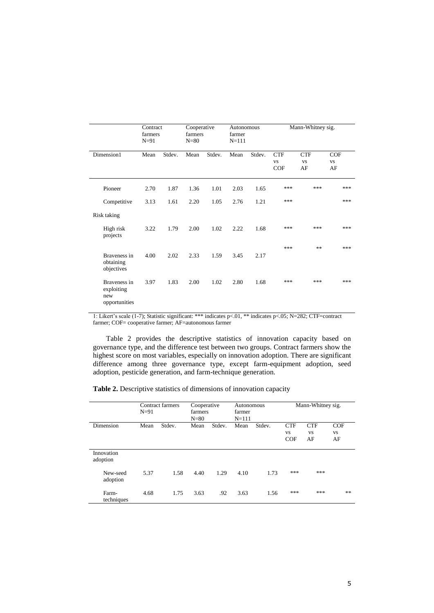| Contract<br>farmers<br>$N=91$                      |      | Cooperative<br>farmers<br>$N = 80$ |      | Autonomous<br>farmer<br>$N = 111$ |      | Mann-Whitney sig. |                                       |                               |                        |
|----------------------------------------------------|------|------------------------------------|------|-----------------------------------|------|-------------------|---------------------------------------|-------------------------------|------------------------|
| Dimension1                                         | Mean | Stdev.                             | Mean | Stdev.                            | Mean | Stdev.            | <b>CTF</b><br><b>VS</b><br><b>COF</b> | <b>CTF</b><br><b>VS</b><br>AF | COF<br><b>VS</b><br>AF |
| Pioneer                                            | 2.70 | 1.87                               | 1.36 | 1.01                              | 2.03 | 1.65              | ***                                   | ***                           | ***                    |
| Competitive                                        | 3.13 | 1.61                               | 2.20 | 1.05                              | 2.76 | 1.21              | ***                                   |                               | ***                    |
| Risk taking                                        |      |                                    |      |                                   |      |                   |                                       |                               |                        |
| High risk<br>projects                              | 3.22 | 1.79                               | 2.00 | 1.02                              | 2.22 | 1.68              | ***                                   | ***                           | ***                    |
| Braveness in<br>obtaining<br>objectives            | 4.00 | 2.02                               | 2.33 | 1.59                              | 3.45 | 2.17              | ***                                   | **                            | ***                    |
| Braveness in<br>exploiting<br>new<br>opportunities | 3.97 | 1.83                               | 2.00 | 1.02                              | 2.80 | 1.68              | ***                                   | ***                           | ***                    |

1: Likert's scale (1-7); Statistic significant: \*\*\* indicates p<.01, \*\* indicates p<.05; N=282; CTF=contract farmer; COF= cooperative farmer; AF=autonomous farmer

Table 2 provides the descriptive statistics of innovation capacity based on governance type, and the difference test between two groups. Contract farmers show the highest score on most variables, especially on innovation adoption. There are significant difference among three governance type, except farm-equipment adoption, seed adoption, pesticide generation, and farm-technique generation.

**Table 2.** Descriptive statistics of dimensions of innovation capacity

|                        | $N=91$ | Contract farmers | Cooperative<br>farmers<br>$N = 80$ |        | Autonomous<br>farmer<br>$N = 111$ |        |                                       | Mann-Whitney sig.             |                        |
|------------------------|--------|------------------|------------------------------------|--------|-----------------------------------|--------|---------------------------------------|-------------------------------|------------------------|
| Dimension              | Mean   | Stdev.           | Mean                               | Stdev. | Mean                              | Stdev. | <b>CTF</b><br><b>VS</b><br><b>COF</b> | <b>CTF</b><br><b>VS</b><br>AF | COF<br><b>VS</b><br>AF |
| Innovation<br>adoption |        |                  |                                    |        |                                   |        |                                       |                               |                        |
| New-seed<br>adoption   | 5.37   | 1.58             | 4.40                               | 1.29   | 4.10                              | 1.73   | ***                                   | ***                           |                        |
| Farm-<br>techniques    | 4.68   | 1.75             | 3.63                               | .92    | 3.63                              | 1.56   | ***                                   | ***                           | **                     |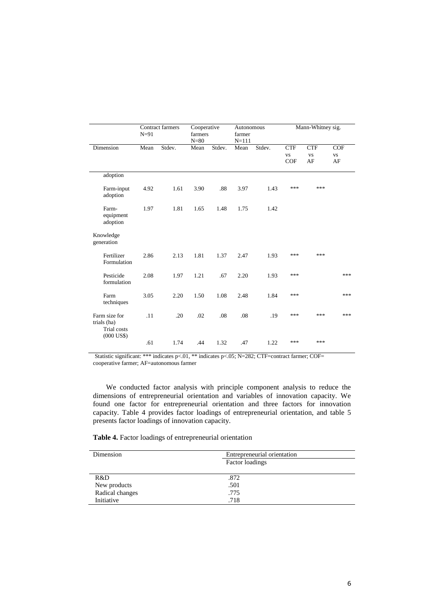|                                             | $N=91$ | Contract farmers | Cooperative<br>farmers<br>$N = 80$ |        | Autonomous<br>farmer<br>$N = 111$ |        |                                | Mann-Whitney sig.             |                        |
|---------------------------------------------|--------|------------------|------------------------------------|--------|-----------------------------------|--------|--------------------------------|-------------------------------|------------------------|
| Dimension                                   | Mean   | Stdev.           | Mean                               | Stdev. | Mean                              | Stdev. | <b>CTF</b><br><b>VS</b><br>COF | <b>CTF</b><br><b>VS</b><br>AF | COF<br><b>VS</b><br>AF |
| adoption                                    |        |                  |                                    |        |                                   |        |                                |                               |                        |
| Farm-input<br>adoption                      | 4.92   | 1.61             | 3.90                               | .88    | 3.97                              | 1.43   | ***                            | ***                           |                        |
| Farm-<br>equipment<br>adoption              | 1.97   | 1.81             | 1.65                               | 1.48   | 1.75                              | 1.42   |                                |                               |                        |
| Knowledge<br>generation                     |        |                  |                                    |        |                                   |        |                                |                               |                        |
| Fertilizer<br>Formulation                   | 2.86   | 2.13             | 1.81                               | 1.37   | 2.47                              | 1.93   | ***                            | ***                           |                        |
| Pesticide<br>formulation                    | 2.08   | 1.97             | 1.21                               | .67    | 2.20                              | 1.93   | ***                            |                               | ***                    |
| Farm<br>techniques                          | 3.05   | 2.20             | 1.50                               | 1.08   | 2.48                              | 1.84   | ***                            |                               | ***                    |
| Farm size for<br>trials (ha)<br>Trial costs | .11    | .20              | .02                                | .08    | .08                               | .19    | ***                            | ***                           | ***                    |
| $(000$ US\$)                                | .61    | 1.74             | .44                                | 1.32   | .47                               | 1.22   | ***                            | ***                           |                        |

Statistic significant: \*\*\* indicates p<.01, \*\* indicates p<.05; N=282; CTF=contract farmer; COF= cooperative farmer; AF=autonomous farmer

We conducted factor analysis with principle component analysis to reduce the dimensions of entrepreneurial orientation and variables of innovation capacity. We found one factor for entrepreneurial orientation and three factors for innovation capacity. Table 4 provides factor loadings of entrepreneurial orientation, and table 5 presents factor loadings of innovation capacity.

**Table 4.** Factor loadings of entrepreneurial orientation

| Dimension       | Entrepreneurial orientation |
|-----------------|-----------------------------|
|                 | Factor loadings             |
|                 |                             |
| R&D             | .872                        |
| New products    | .501                        |
| Radical changes | .775                        |
| Initiative      | .718                        |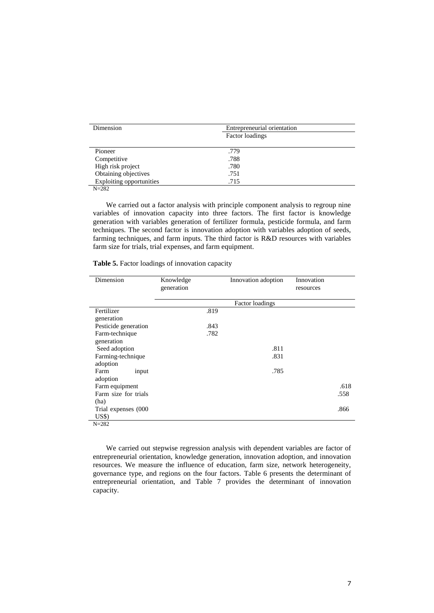| Dimension                       | Entrepreneurial orientation<br>Factor loadings |  |
|---------------------------------|------------------------------------------------|--|
| Pioneer                         | .779                                           |  |
| Competitive                     | .788                                           |  |
| High risk project               | .780                                           |  |
| Obtaining objectives            | .751                                           |  |
| <b>Exploiting opportunities</b> | .715                                           |  |

N=282

We carried out a factor analysis with principle component analysis to regroup nine variables of innovation capacity into three factors. The first factor is knowledge generation with variables generation of fertilizer formula, pesticide formula, and farm techniques. The second factor is innovation adoption with variables adoption of seeds, farming techniques, and farm inputs. The third factor is R&D resources with variables farm size for trials, trial expenses, and farm equipment.

| Table 5. Factor loadings of innovation capacity |  |  |  |
|-------------------------------------------------|--|--|--|
|-------------------------------------------------|--|--|--|

| Dimension            | Knowledge<br>generation | Innovation adoption | Innovation<br>resources |
|----------------------|-------------------------|---------------------|-------------------------|
|                      |                         | Factor loadings     |                         |
| Fertilizer           | .819                    |                     |                         |
| generation           |                         |                     |                         |
| Pesticide generation | .843                    |                     |                         |
| Farm-technique       | .782                    |                     |                         |
| generation           |                         |                     |                         |
| Seed adoption        |                         | .811                |                         |
| Farming-technique    |                         | .831                |                         |
| adoption             |                         |                     |                         |
| Farm<br>input        |                         | .785                |                         |
| adoption             |                         |                     |                         |
| Farm equipment       |                         |                     | .618                    |
| Farm size for trials |                         |                     | .558                    |
| (ha)                 |                         |                     |                         |
| Trial expenses (000  |                         |                     | .866                    |
| US\$                 |                         |                     |                         |
| $N = 282$            |                         |                     |                         |

We carried out stepwise regression analysis with dependent variables are factor of entrepreneurial orientation, knowledge generation, innovation adoption, and innovation resources. We measure the influence of education, farm size, network heterogeneity, governance type, and regions on the four factors. Table 6 presents the determinant of entrepreneurial orientation, and Table 7 provides the determinant of innovation capacity.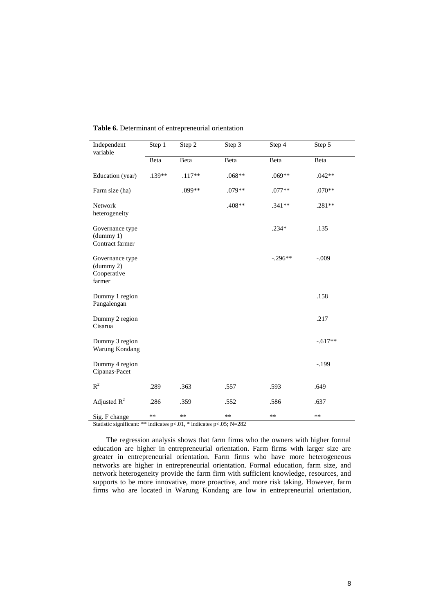| Independent<br>variable                               | Step 1   | Step 2   | Step $\overline{3}$ | Step 4    | Step 5    |
|-------------------------------------------------------|----------|----------|---------------------|-----------|-----------|
|                                                       | Beta     | Beta     | Beta                | Beta      | Beta      |
| Education (year)                                      | $.139**$ | $.117**$ | $.068**$            | $.069**$  | $.042**$  |
| Farm size (ha)                                        |          | .099**   | .079**              | $.077**$  | $.070**$  |
| Network<br>heterogeneity                              |          |          | .408**              | $.341**$  | $.281**$  |
| Governance type<br>(dummy 1)<br>Contract farmer       |          |          |                     | $.234*$   | .135      |
| Governance type<br>(dummy 2)<br>Cooperative<br>farmer |          |          |                     | $-.296**$ | $-.009$   |
| Dummy 1 region<br>Pangalengan                         |          |          |                     |           | .158      |
| Dummy 2 region<br>Cisarua                             |          |          |                     |           | .217      |
| Dummy 3 region<br>Warung Kondang                      |          |          |                     |           | $-.617**$ |
| Dummy 4 region<br>Cipanas-Pacet                       |          |          |                     |           | $-.199$   |
| $R^2$                                                 | .289     | .363     | .557                | .593      | .649      |
| Adjusted $R^2$                                        | .286     | .359     | .552                | .586      | .637      |
| Sig. F change                                         | **       | **       | **                  | **        | $***$     |

## **Table 6.** Determinant of entrepreneurial orientation

Statistic significant: \*\* indicates p<.01, \* indicates p<.05; N=282

The regression analysis shows that farm firms who the owners with higher formal education are higher in entrepreneurial orientation. Farm firms with larger size are greater in entrepreneurial orientation. Farm firms who have more heterogeneous networks are higher in entrepreneurial orientation. Formal education, farm size, and network heterogeneity provide the farm firm with sufficient knowledge, resources, and supports to be more innovative, more proactive, and more risk taking. However, farm firms who are located in Warung Kondang are low in entrepreneurial orientation,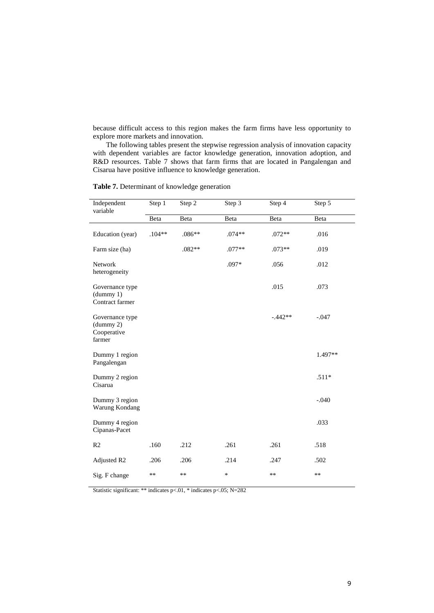because difficult access to this region makes the farm firms have less opportunity to explore more markets and innovation.

The following tables present the stepwise regression analysis of innovation capacity with dependent variables are factor knowledge generation, innovation adoption, and R&D resources. Table 7 shows that farm firms that are located in Pangalengan and Cisarua have positive influence to knowledge generation.

| Independent<br>variable                               | Step 1   | Step 2   | Step 3   | Step 4    | Step 5  |
|-------------------------------------------------------|----------|----------|----------|-----------|---------|
|                                                       | Beta     | Beta     | Beta     | Beta      | Beta    |
| Education (year)                                      | $.104**$ | $.086**$ | $.074**$ | $.072**$  | .016    |
| Farm size (ha)                                        |          | .082**   | $.077**$ | $.073**$  | .019    |
| Network<br>heterogeneity                              |          |          | .097*    | .056      | .012    |
| Governance type<br>(dummy 1)<br>Contract farmer       |          |          |          | .015      | .073    |
| Governance type<br>(dummy 2)<br>Cooperative<br>farmer |          |          |          | $-.442**$ | $-.047$ |
| Dummy 1 region<br>Pangalengan                         |          |          |          |           | 1.497** |
| Dummy 2 region<br>Cisarua                             |          |          |          |           | $.511*$ |
| Dummy 3 region<br>Warung Kondang                      |          |          |          |           | $-.040$ |
| Dummy 4 region<br>Cipanas-Pacet                       |          |          |          |           | .033    |
| R <sub>2</sub>                                        | .160     | .212     | .261     | .261      | .518    |
| Adjusted R2                                           | .206     | .206     | .214     | .247      | .502    |
| Sig. F change                                         | **       | $***$    | $\ast$   | $***$     | $***$   |

**Table 7.** Determinant of knowledge generation

Statistic significant: \*\* indicates p<.01, \* indicates p<.05; N=282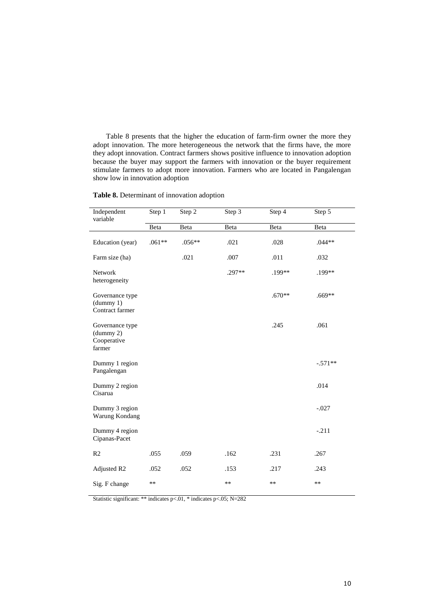Table 8 presents that the higher the education of farm-firm owner the more they adopt innovation. The more heterogeneous the network that the firms have, the more they adopt innovation. Contract farmers shows positive influence to innovation adoption because the buyer may support the farmers with innovation or the buyer requirement stimulate farmers to adopt more innovation. Farmers who are located in Pangalengan show low in innovation adoption

| Table 8. Determinant of innovation adoption |  |  |
|---------------------------------------------|--|--|
|---------------------------------------------|--|--|

| Independent<br>variable                               | Step 1   | Step 2 | Step 3 | Step 4   | Step 5    |
|-------------------------------------------------------|----------|--------|--------|----------|-----------|
|                                                       | Beta     | Beta   | Beta   | Beta     | Beta      |
| Education (year)                                      | $.061**$ | .056** | .021   | .028     | $.044**$  |
| Farm size (ha)                                        |          | .021   | .007   | .011     | .032      |
| Network<br>heterogeneity                              |          |        | .297** | .199**   | .199**    |
| Governance type<br>(dummy 1)<br>Contract farmer       |          |        |        | $.670**$ | $.669**$  |
| Governance type<br>(dummy 2)<br>Cooperative<br>farmer |          |        |        | .245     | .061      |
| Dummy 1 region<br>Pangalengan                         |          |        |        |          | $-.571**$ |
| Dummy 2 region<br>Cisarua                             |          |        |        |          | .014      |
| Dummy 3 region<br>Warung Kondang                      |          |        |        |          | $-.027$   |
| Dummy 4 region<br>Cipanas-Pacet                       |          |        |        |          | $-.211$   |
| R <sub>2</sub>                                        | .055     | .059   | .162   | .231     | .267      |
| Adjusted R2                                           | .052     | .052   | .153   | .217     | .243      |
| Sig. F change                                         | $**$     |        | $**$   | $**$     | $**$      |

Statistic significant: \*\* indicates p<.01, \* indicates p<.05; N=282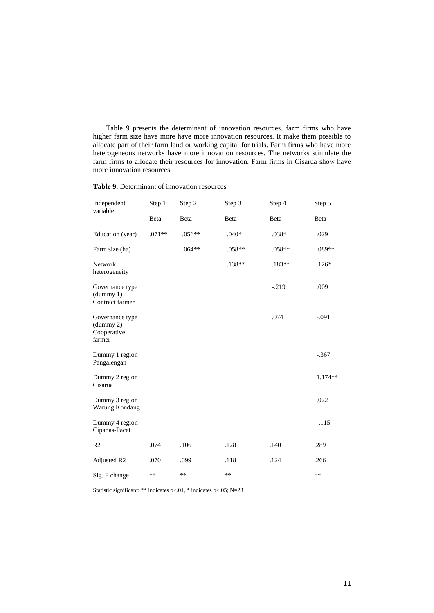Table 9 presents the determinant of innovation resources. farm firms who have higher farm size have more have more innovation resources. It make them possible to allocate part of their farm land or working capital for trials. Farm firms who have more heterogeneous networks have more innovation resources. The networks stimulate the farm firms to allocate their resources for innovation. Farm firms in Cisarua show have more innovation resources.

| <b>Table 9.</b> Determinant of innovation resources |
|-----------------------------------------------------|
|-----------------------------------------------------|

| Independent<br>variable                               | Step 1   | Step 2   | Step 3   | Step 4  | Step 5    |
|-------------------------------------------------------|----------|----------|----------|---------|-----------|
|                                                       | Beta     | Beta     | Beta     | Beta    | Beta      |
| Education (year)                                      | $.071**$ | $.056**$ | $.040*$  | $.038*$ | .029      |
| Farm size (ha)                                        |          | $.064**$ | $.058**$ | .058**  | $.089**$  |
| Network<br>heterogeneity                              |          |          | .138**   | .183**  | $.126*$   |
| Governance type<br>(dummy 1)<br>Contract farmer       |          |          |          | $-.219$ | .009      |
| Governance type<br>(dummy 2)<br>Cooperative<br>farmer |          |          |          | .074    | $-.091$   |
| Dummy 1 region<br>Pangalengan                         |          |          |          |         | $-.367$   |
| Dummy 2 region<br>Cisarua                             |          |          |          |         | $1.174**$ |
| Dummy 3 region<br>Warung Kondang                      |          |          |          |         | .022      |
| Dummy 4 region<br>Cipanas-Pacet                       |          |          |          |         | $-.115$   |
| R <sub>2</sub>                                        | .074     | .106     | .128     | .140    | .289      |
| Adjusted R2                                           | .070     | .099     | .118     | .124    | .266      |
| Sig. F change                                         | **       | **       | $***$    |         | $***$     |

Statistic significant: \*\* indicates p<.01, \* indicates p<.05; N=28